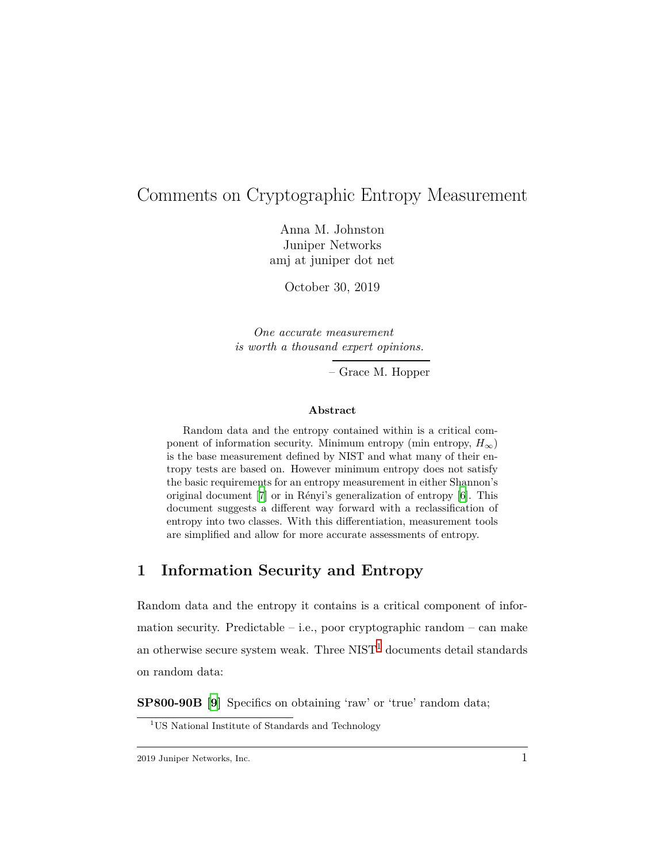# Comments on Cryptographic Entropy Measurement

Anna M. Johnston Juniper Networks amj at juniper dot net

October 30, 2019

*One accurate measurement is worth a thousand expert opinions.*

– Grace M. Hopper

#### **Abstract**

Random data and the entropy contained within is a critical component of information security. Minimum entropy (min entropy,  $H_{\infty}$ ) is the base measurement defined by NIST and what many of their entropy tests are based on. However minimum entropy does not satisfy the basic requirements for an entropy measurement in either Shannon's original document [[7\]](#page-12-0) or in Rényi's generalization of entropy [[6\]](#page-12-1). This document suggests a different way forward with a reclassification of entropy into two classes. With this differentiation, measurement tools are simplified and allow for more accurate assessments of entropy.

## **1 Information Security and Entropy**

Random data and the entropy it contains is a critical component of information security. Predictable – i.e., poor cryptographic random – can make an otherwise secure system weak. Three  $NIST<sup>1</sup>$  $NIST<sup>1</sup>$  $NIST<sup>1</sup>$  documents detail standards on random data:

**SP800-90B [\[9\]](#page-13-0)** Specifics on obtaining 'raw' or 'true' random data;

<span id="page-0-0"></span><sup>&</sup>lt;sup>1</sup>US National Institute of Standards and Technology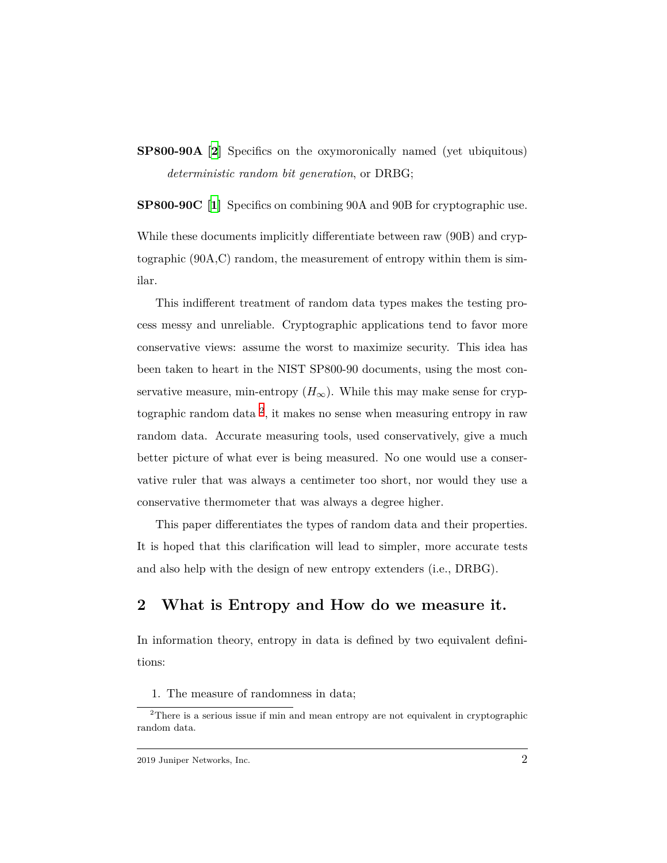**SP800-90A [\[2](#page-12-2)]** Specifics on the oxymoronically named (yet ubiquitous) *deterministic random bit generation*, or DRBG;

**SP800-90C [[1\]](#page-11-0)** Specifics on combining 90A and 90B for cryptographic use.

While these documents implicitly differentiate between raw (90B) and cryptographic (90A,C) random, the measurement of entropy within them is similar.

This indifferent treatment of random data types makes the testing process messy and unreliable. Cryptographic applications tend to favor more conservative views: assume the worst to maximize security. This idea has been taken to heart in the NIST SP800-90 documents, using the most conservative measure, min-entropy  $(H_{\infty})$ . While this may make sense for cryptographic random data [2](#page-1-0) , it makes no sense when measuring entropy in raw random data. Accurate measuring tools, used conservatively, give a much better picture of what ever is being measured. No one would use a conservative ruler that was always a centimeter too short, nor would they use a conservative thermometer that was always a degree higher.

This paper differentiates the types of random data and their properties. It is hoped that this clarification will lead to simpler, more accurate tests and also help with the design of new entropy extenders (i.e., DRBG).

## **2 What is Entropy and How do we measure it.**

In information theory, entropy in data is defined by two equivalent definitions:

1. The measure of randomness in data;

<span id="page-1-0"></span><sup>2</sup>There is a serious issue if min and mean entropy are not equivalent in cryptographic random data.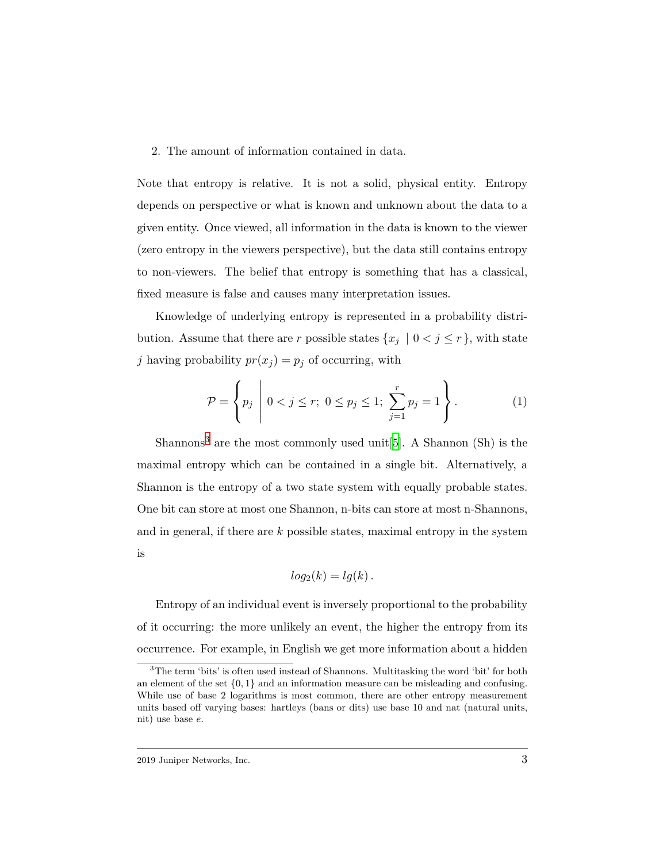#### 2. The amount of information contained in data.

Note that entropy is relative. It is not a solid, physical entity. Entropy depends on perspective or what is known and unknown about the data to a given entity. Once viewed, all information in the data is known to the viewer (zero entropy in the viewers perspective), but the data still contains entropy to non-viewers. The belief that entropy is something that has a classical, fixed measure is false and causes many interpretation issues.

Knowledge of underlying entropy is represented in a probability distribution. Assume that there are *r* possible states  $\{x_j \mid 0 \leq j \leq r\}$ , with state *j* having probability  $pr(x_j) = p_j$  of occurring, with

<span id="page-2-1"></span>
$$
\mathcal{P} = \left\{ p_j \middle| 0 < j \le r; \ 0 \le p_j \le 1; \ \sum_{j=1}^r p_j = 1 \right\}. \tag{1}
$$

Shannons<sup>[3](#page-2-0)</sup> are the most commonly used unit [[5\]](#page-12-3). A Shannon (Sh) is the maximal entropy which can be contained in a single bit. Alternatively, a Shannon is the entropy of a two state system with equally probable states. One bit can store at most one Shannon, n-bits can store at most n-Shannons, and in general, if there are *k* possible states, maximal entropy in the system is

$$
log_2(k) = lg(k).
$$

Entropy of an individual event is inversely proportional to the probability of it occurring: the more unlikely an event, the higher the entropy from its occurrence. For example, in English we get more information about a hidden

<span id="page-2-0"></span><sup>&</sup>lt;sup>3</sup>The term 'bits' is often used instead of Shannons. Multitasking the word 'bit' for both an element of the set *{*0*,* 1*}* and an information measure can be misleading and confusing. While use of base 2 logarithms is most common, there are other entropy measurement units based off varying bases: hartleys (bans or dits) use base 10 and nat (natural units, nit) use base *e*.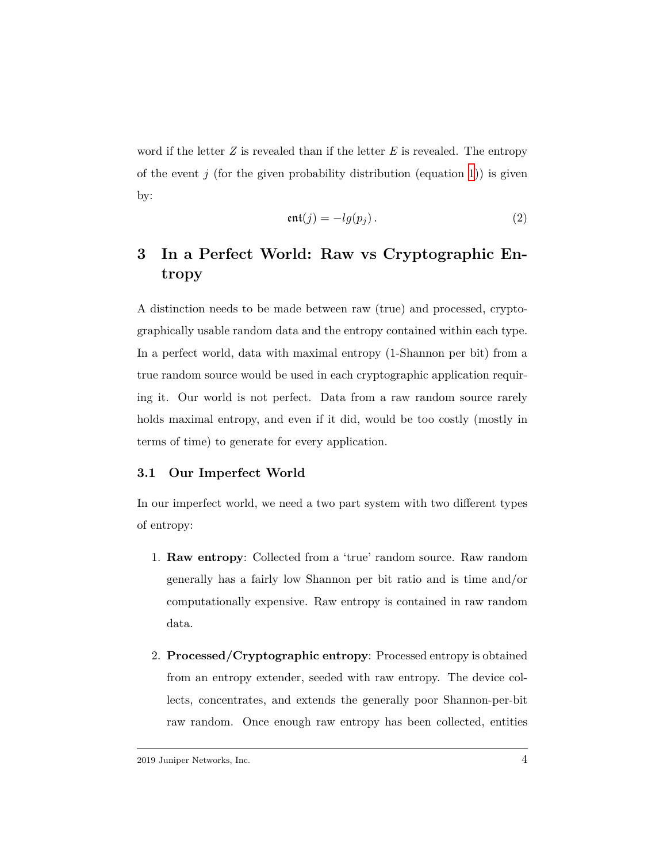word if the letter *Z* is revealed than if the letter *E* is revealed. The entropy of the event  $j$  (for the given probability distribution (equation [1\)](#page-2-1)) is given by:

$$
ent(j) = -lg(p_j).
$$
 (2)

# **3 In a Perfect World: Raw vs Cryptographic Entropy**

A distinction needs to be made between raw (true) and processed, cryptographically usable random data and the entropy contained within each type. In a perfect world, data with maximal entropy (1-Shannon per bit) from a true random source would be used in each cryptographic application requiring it. Our world is not perfect. Data from a raw random source rarely holds maximal entropy, and even if it did, would be too costly (mostly in terms of time) to generate for every application.

### **3.1 Our Imperfect World**

In our imperfect world, we need a two part system with two different types of entropy:

- 1. **Raw entropy**: Collected from a 'true' random source. Raw random generally has a fairly low Shannon per bit ratio and is time and/or computationally expensive. Raw entropy is contained in raw random data.
- 2. **Processed/Cryptographic entropy**: Processed entropy is obtained from an entropy extender, seeded with raw entropy. The device collects, concentrates, and extends the generally poor Shannon-per-bit raw random. Once enough raw entropy has been collected, entities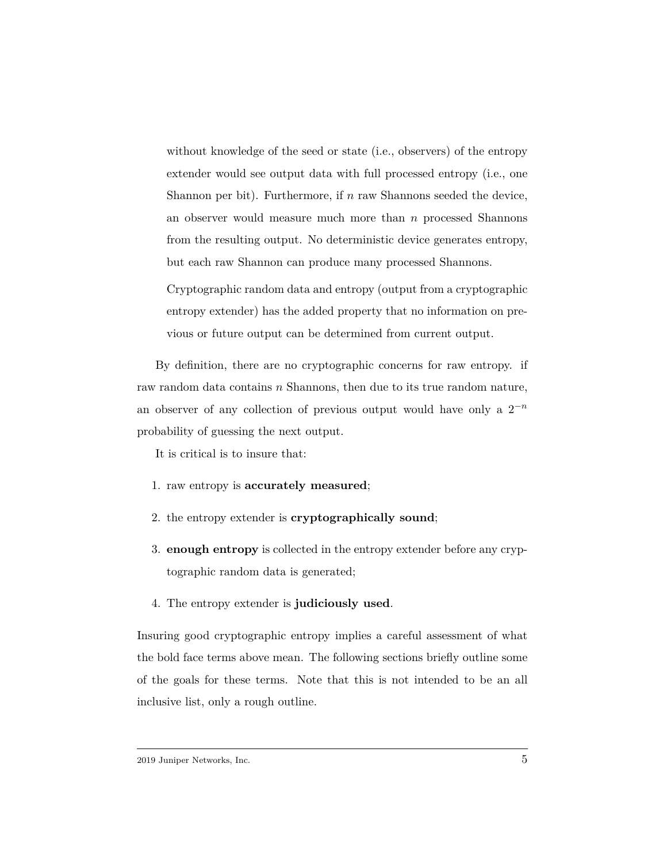without knowledge of the seed or state (i.e., observers) of the entropy extender would see output data with full processed entropy (i.e., one Shannon per bit). Furthermore, if *n* raw Shannons seeded the device, an observer would measure much more than *n* processed Shannons from the resulting output. No deterministic device generates entropy, but each raw Shannon can produce many processed Shannons.

Cryptographic random data and entropy (output from a cryptographic entropy extender) has the added property that no information on previous or future output can be determined from current output.

By definition, there are no cryptographic concerns for raw entropy. if raw random data contains *n* Shannons, then due to its true random nature, an observer of any collection of previous output would have only a  $2^{-n}$ probability of guessing the next output.

It is critical is to insure that:

- 1. raw entropy is **accurately measured**;
- 2. the entropy extender is **cryptographically sound**;
- 3. **enough entropy** is collected in the entropy extender before any cryptographic random data is generated;
- 4. The entropy extender is **judiciously used**.

Insuring good cryptographic entropy implies a careful assessment of what the bold face terms above mean. The following sections briefly outline some of the goals for these terms. Note that this is not intended to be an all inclusive list, only a rough outline.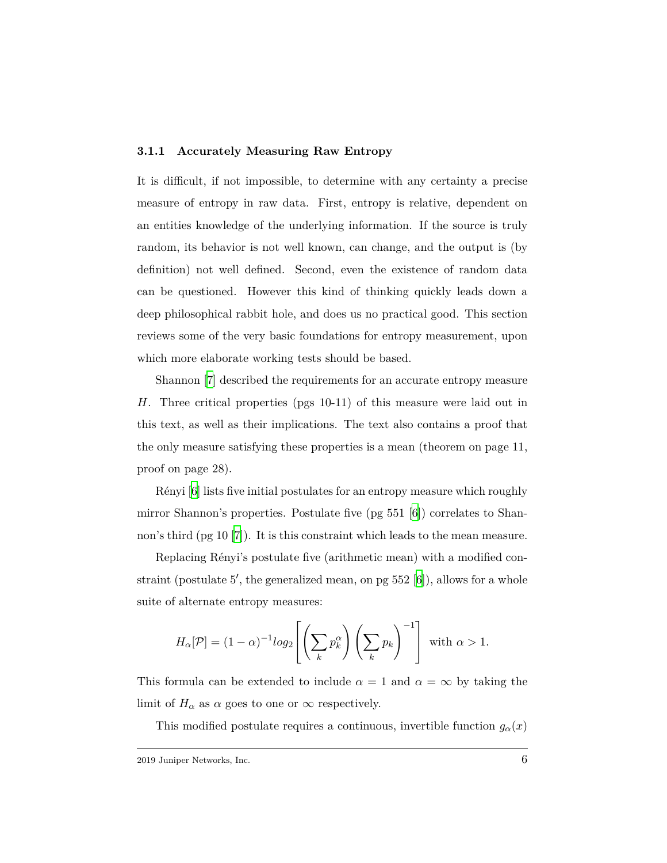#### **3.1.1 Accurately Measuring Raw Entropy**

It is difficult, if not impossible, to determine with any certainty a precise measure of entropy in raw data. First, entropy is relative, dependent on an entities knowledge of the underlying information. If the source is truly random, its behavior is not well known, can change, and the output is (by definition) not well defined. Second, even the existence of random data can be questioned. However this kind of thinking quickly leads down a deep philosophical rabbit hole, and does us no practical good. This section reviews some of the very basic foundations for entropy measurement, upon which more elaborate working tests should be based.

Shannon [\[7\]](#page-12-0) described the requirements for an accurate entropy measure *H*. Three critical properties (pgs 10-11) of this measure were laid out in this text, as well as their implications. The text also contains a proof that the only measure satisfying these properties is a mean (theorem on page 11, proof on page 28).

Rényi [[6](#page-12-1)] lists five initial postulates for an entropy measure which roughly mirror Shannon's properties. Postulate five  $(pg 551 6)$  correlates to Shannon's third (pg 10 [\[7\]](#page-12-0)). It is this constraint which leads to the mean measure.

Replacing Rényi's postulate five (arithmetic mean) with a modified con-straint (postulate 5', the generalized mean, on pg 552 [\[6\]](#page-12-1)), allows for a whole suite of alternate entropy measures:

$$
H_{\alpha}[\mathcal{P}] = (1 - \alpha)^{-1} \log_2 \left[ \left( \sum_{k} p_k^{\alpha} \right) \left( \sum_{k} p_k \right)^{-1} \right] \text{ with } \alpha > 1.
$$

This formula can be extended to include  $\alpha = 1$  and  $\alpha = \infty$  by taking the limit of  $H_{\alpha}$  as  $\alpha$  goes to one or  $\infty$  respectively.

This modified postulate requires a continuous, invertible function  $g_\alpha(x)$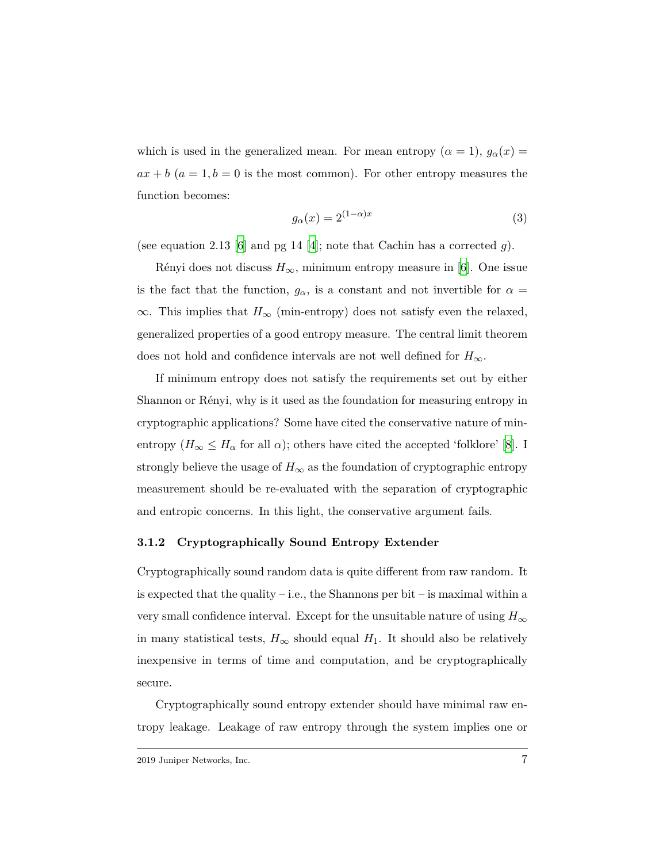which is used in the generalized mean. For mean entropy  $(\alpha = 1)$ ,  $g_{\alpha}(x) =$  $ax + b$  ( $a = 1, b = 0$  is the most common). For other entropy measures the function becomes:

$$
g_{\alpha}(x) = 2^{(1-\alpha)x} \tag{3}
$$

(see equation 2.13 [\[6\]](#page-12-1) and pg 14 [\[4\]](#page-12-4); note that Cachin has a corrected *g*).

Rényi does not discuss  $H_{\infty}$ , minimum entropy measure in [[6](#page-12-1)]. One issue is the fact that the function,  $g_{\alpha}$ , is a constant and not invertible for  $\alpha =$ *∞*. This implies that *H<sup>∞</sup>* (min-entropy) does not satisfy even the relaxed, generalized properties of a good entropy measure. The central limit theorem does not hold and confidence intervals are not well defined for *H∞*.

If minimum entropy does not satisfy the requirements set out by either Shannon or Rényi, why is it used as the foundation for measuring entropy in cryptographic applications? Some have cited the conservative nature of minentropy  $(H_{\infty} \leq H_{\alpha}$  for all  $\alpha)$ ; others have cited the accepted 'folklore' [\[8\]](#page-12-5). I strongly believe the usage of  $H_{\infty}$  as the foundation of cryptographic entropy measurement should be re-evaluated with the separation of cryptographic and entropic concerns. In this light, the conservative argument fails.

#### **3.1.2 Cryptographically Sound Entropy Extender**

Cryptographically sound random data is quite different from raw random. It is expected that the quality – i.e., the Shannons per bit – is maximal within a very small confidence interval. Except for the unsuitable nature of using  $H_{\infty}$ in many statistical tests,  $H_{\infty}$  should equal  $H_1$ . It should also be relatively inexpensive in terms of time and computation, and be cryptographically secure.

Cryptographically sound entropy extender should have minimal raw entropy leakage. Leakage of raw entropy through the system implies one or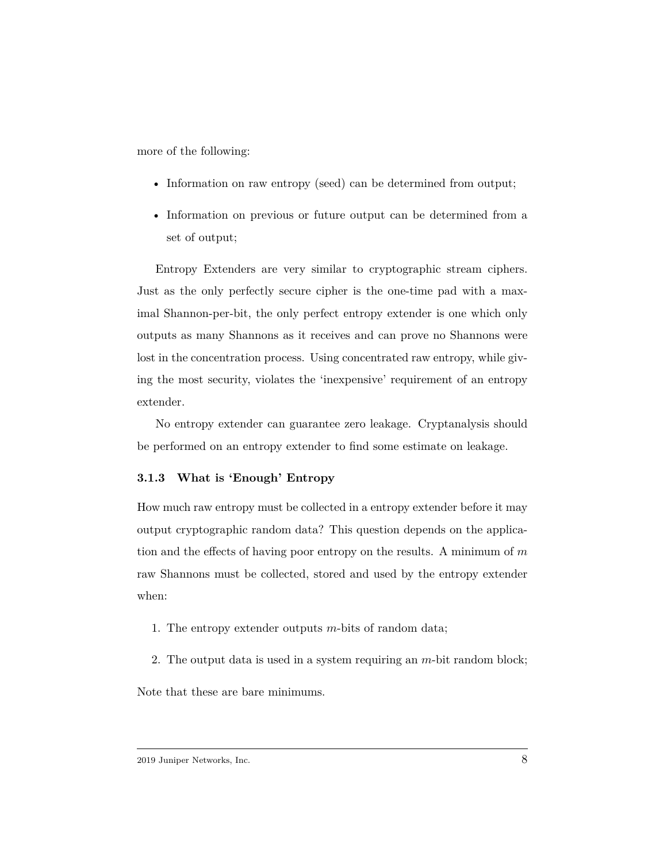more of the following:

- Information on raw entropy (seed) can be determined from output;
- Information on previous or future output can be determined from a set of output;

Entropy Extenders are very similar to cryptographic stream ciphers. Just as the only perfectly secure cipher is the one-time pad with a maximal Shannon-per-bit, the only perfect entropy extender is one which only outputs as many Shannons as it receives and can prove no Shannons were lost in the concentration process. Using concentrated raw entropy, while giving the most security, violates the 'inexpensive' requirement of an entropy extender.

No entropy extender can guarantee zero leakage. Cryptanalysis should be performed on an entropy extender to find some estimate on leakage.

#### **3.1.3 What is 'Enough' Entropy**

How much raw entropy must be collected in a entropy extender before it may output cryptographic random data? This question depends on the application and the effects of having poor entropy on the results. A minimum of *m* raw Shannons must be collected, stored and used by the entropy extender when:

- 1. The entropy extender outputs *m*-bits of random data;
- 2. The output data is used in a system requiring an *m*-bit random block;

Note that these are bare minimums.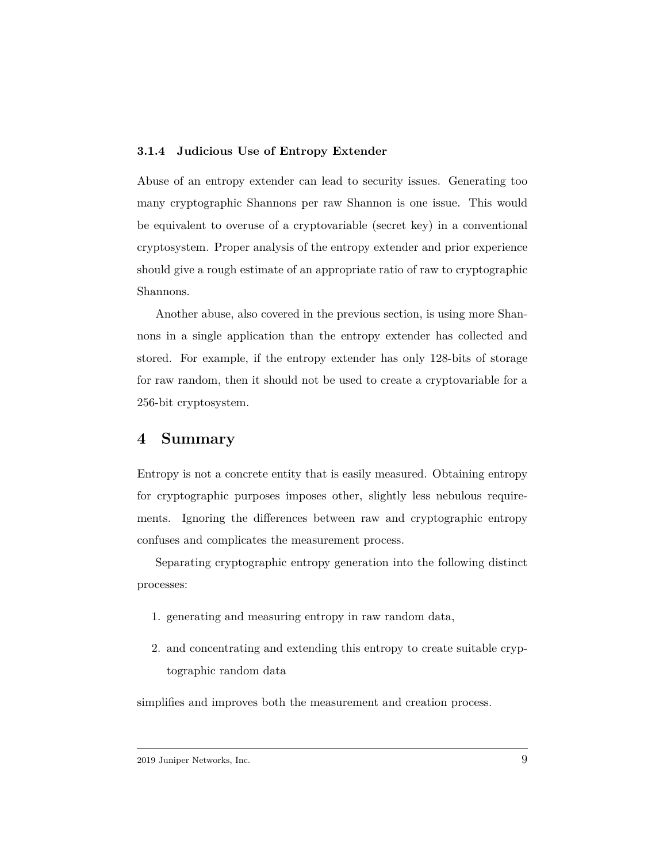#### **3.1.4 Judicious Use of Entropy Extender**

Abuse of an entropy extender can lead to security issues. Generating too many cryptographic Shannons per raw Shannon is one issue. This would be equivalent to overuse of a cryptovariable (secret key) in a conventional cryptosystem. Proper analysis of the entropy extender and prior experience should give a rough estimate of an appropriate ratio of raw to cryptographic Shannons.

Another abuse, also covered in the previous section, is using more Shannons in a single application than the entropy extender has collected and stored. For example, if the entropy extender has only 128-bits of storage for raw random, then it should not be used to create a cryptovariable for a 256-bit cryptosystem.

## **4 Summary**

Entropy is not a concrete entity that is easily measured. Obtaining entropy for cryptographic purposes imposes other, slightly less nebulous requirements. Ignoring the differences between raw and cryptographic entropy confuses and complicates the measurement process.

Separating cryptographic entropy generation into the following distinct processes:

- 1. generating and measuring entropy in raw random data,
- 2. and concentrating and extending this entropy to create suitable cryptographic random data

simplifies and improves both the measurement and creation process.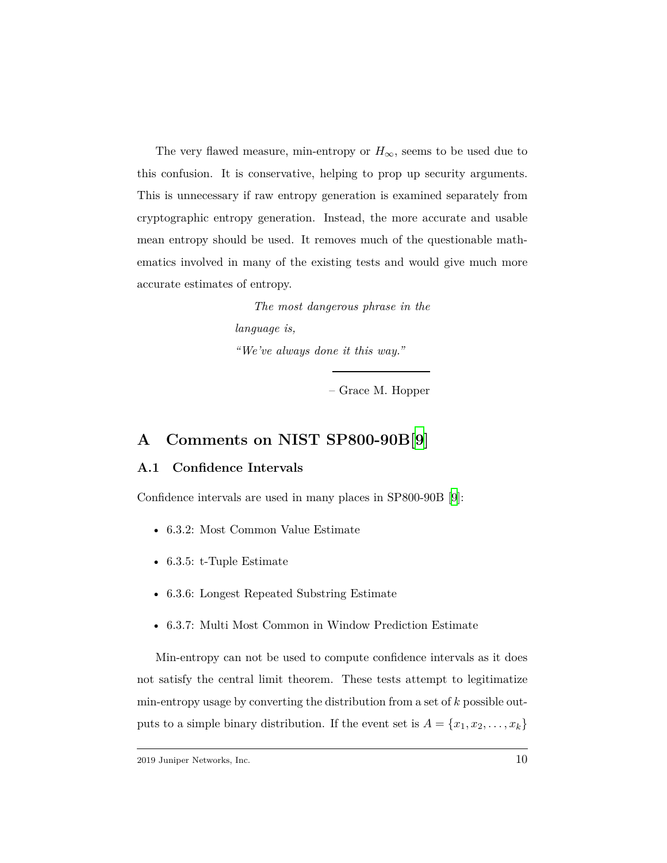The very flawed measure, min-entropy or  $H_{\infty}$ , seems to be used due to this confusion. It is conservative, helping to prop up security arguments. This is unnecessary if raw entropy generation is examined separately from cryptographic entropy generation. Instead, the more accurate and usable mean entropy should be used. It removes much of the questionable mathematics involved in many of the existing tests and would give much more accurate estimates of entropy.

> *The most dangerous phrase in the language is, "We've always done it this way."*

> > – Grace M. Hopper

# **A Comments on NIST SP800-90B[\[9](#page-13-0)]**

## **A.1 Confidence Intervals**

Confidence intervals are used in many places in SP800-90B [[9\]](#page-13-0):

- 6.3.2: Most Common Value Estimate
- 6.3.5: t-Tuple Estimate
- 6.3.6: Longest Repeated Substring Estimate
- 6.3.7: Multi Most Common in Window Prediction Estimate

Min-entropy can not be used to compute confidence intervals as it does not satisfy the central limit theorem. These tests attempt to legitimatize min-entropy usage by converting the distribution from a set of *k* possible outputs to a simple binary distribution. If the event set is  $A = \{x_1, x_2, \ldots, x_k\}$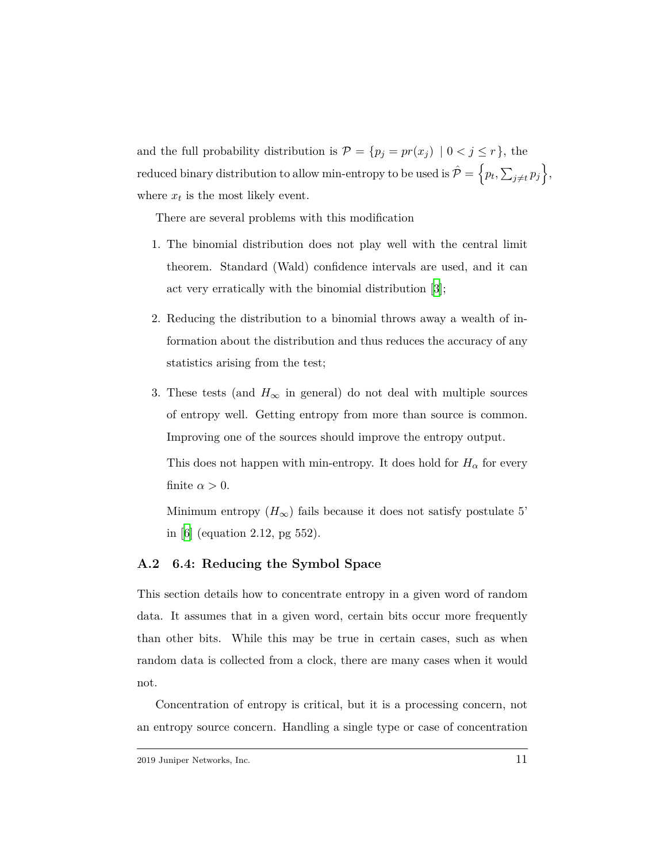and the full probability distribution is  $\mathcal{P} = \{p_j = pr(x_j) \mid 0 < j \leq r\}$ , the  $\text{reduced binary distribution to allow min-entropy to be used is } \hat{\mathcal{P}} = \left\{ p_t, \sum_{j \neq t} p_j \right\},$ where  $x_t$  is the most likely event.

There are several problems with this modification

- 1. The binomial distribution does not play well with the central limit theorem. Standard (Wald) confidence intervals are used, and it can act very erratically with the binomial distribution [\[3\]](#page-12-6);
- 2. Reducing the distribution to a binomial throws away a wealth of information about the distribution and thus reduces the accuracy of any statistics arising from the test;
- 3. These tests (and  $H_{\infty}$  in general) do not deal with multiple sources of entropy well. Getting entropy from more than source is common. Improving one of the sources should improve the entropy output.

This does not happen with min-entropy. It does hold for  $H_{\alpha}$  for every finite  $\alpha > 0$ .

Minimum entropy  $(H_{\infty})$  fails because it does not satisfy postulate 5' in [[6](#page-12-1)] (equation 2.12, pg 552).

## **A.2 6.4: Reducing the Symbol Space**

This section details how to concentrate entropy in a given word of random data. It assumes that in a given word, certain bits occur more frequently than other bits. While this may be true in certain cases, such as when random data is collected from a clock, there are many cases when it would not.

Concentration of entropy is critical, but it is a processing concern, not an entropy source concern. Handling a single type or case of concentration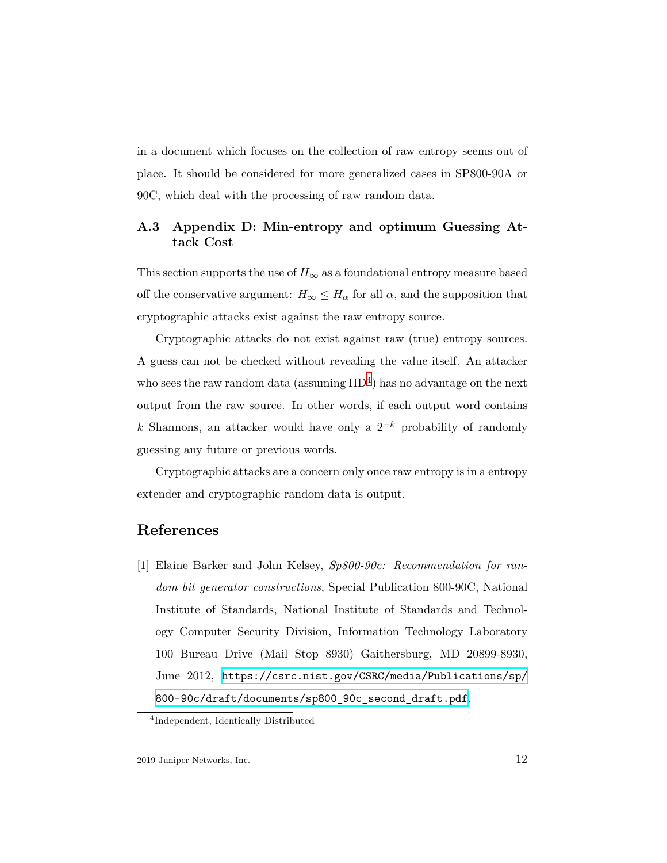in a document which focuses on the collection of raw entropy seems out of place. It should be considered for more generalized cases in SP800-90A or 90C, which deal with the processing of raw random data.

## **A.3 Appendix D: Min-entropy and optimum Guessing Attack Cost**

This section supports the use of  $H_{\infty}$  as a foundational entropy measure based off the conservative argument:  $H_{\infty} \leq H_{\alpha}$  for all  $\alpha$ , and the supposition that cryptographic attacks exist against the raw entropy source.

Cryptographic attacks do not exist against raw (true) entropy sources. A guess can not be checked without revealing the value itself. An attacker who sees the raw random data (assuming  $\text{IID}^4$  $\text{IID}^4$ ) has no advantage on the next output from the raw source. In other words, if each output word contains *k* Shannons, an attacker would have only a 2 *<sup>−</sup><sup>k</sup>* probability of randomly guessing any future or previous words.

Cryptographic attacks are a concern only once raw entropy is in a entropy extender and cryptographic random data is output.

## <span id="page-11-0"></span>**References**

[1] Elaine Barker and John Kelsey, *Sp800-90c: Recommendation for random bit generator constructions*, Special Publication 800-90C, National Institute of Standards, National Institute of Standards and Technology Computer Security Division, Information Technology Laboratory 100 Bureau Drive (Mail Stop 8930) Gaithersburg, MD 20899-8930, June 2012, [https://csrc.nist.gov/CSRC/media/Publications/sp/](https://csrc.nist.gov/CSRC/media/Publications/sp/800-90c/draft/documents/sp800_90c_second_draft.pdf) [800-90c/draft/documents/sp800\\_90c\\_second\\_draft.pdf](https://csrc.nist.gov/CSRC/media/Publications/sp/800-90c/draft/documents/sp800_90c_second_draft.pdf).

<span id="page-11-1"></span><sup>4</sup> Independent, Identically Distributed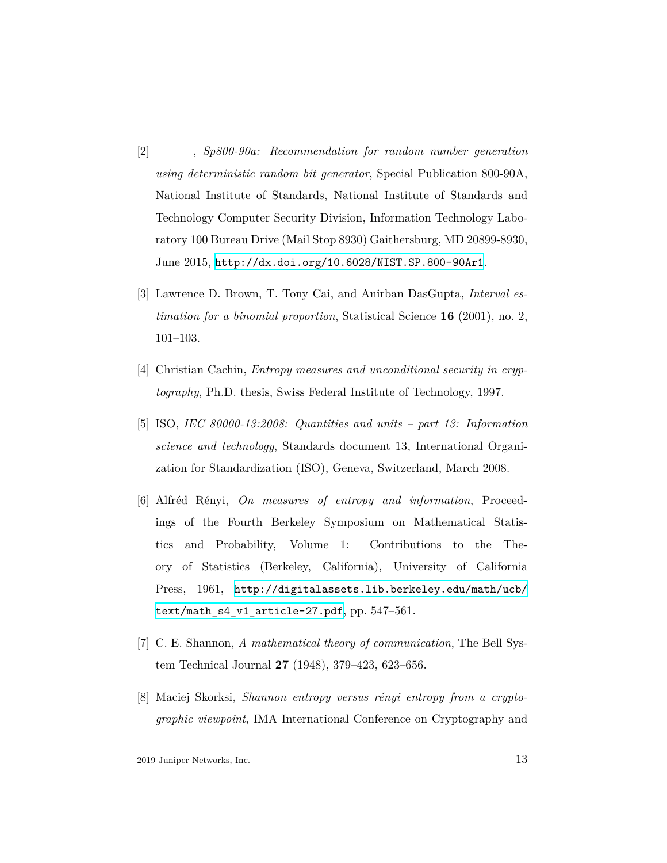- <span id="page-12-2"></span>[2] , *Sp800-90a: Recommendation for random number generation using deterministic random bit generator*, Special Publication 800-90A, National Institute of Standards, National Institute of Standards and Technology Computer Security Division, Information Technology Laboratory 100 Bureau Drive (Mail Stop 8930) Gaithersburg, MD 20899-8930, June 2015, <http://dx.doi.org/10.6028/NIST.SP.800-90Ar1>.
- <span id="page-12-6"></span>[3] Lawrence D. Brown, T. Tony Cai, and Anirban DasGupta, *Interval estimation for a binomial proportion*, Statistical Science **16** (2001), no. 2, 101–103.
- <span id="page-12-4"></span>[4] Christian Cachin, *Entropy measures and unconditional security in cryptography*, Ph.D. thesis, Swiss Federal Institute of Technology, 1997.
- <span id="page-12-3"></span>[5] ISO, *IEC 80000-13:2008: Quantities and units – part 13: Information science and technology*, Standards document 13, International Organization for Standardization (ISO), Geneva, Switzerland, March 2008.
- <span id="page-12-1"></span>[6] Alfréd Rényi, *On measures of entropy and information*, Proceedings of the Fourth Berkeley Symposium on Mathematical Statistics and Probability, Volume 1: Contributions to the Theory of Statistics (Berkeley, California), University of California Press, 1961, [http://digitalassets.lib.berkeley.edu/math/ucb/](http://digitalassets.lib.berkeley.edu/math/ucb/text/math_s4_v1_article-27.pdf) [text/math\\_s4\\_v1\\_article-27.pdf](http://digitalassets.lib.berkeley.edu/math/ucb/text/math_s4_v1_article-27.pdf), pp. 547–561.
- <span id="page-12-0"></span>[7] C. E. Shannon, *A mathematical theory of communication*, The Bell System Technical Journal **27** (1948), 379–423, 623–656.
- <span id="page-12-5"></span>[8] Maciej Skorksi, *Shannon entropy versus rényi entropy from a cryptographic viewpoint*, IMA International Conference on Cryptography and